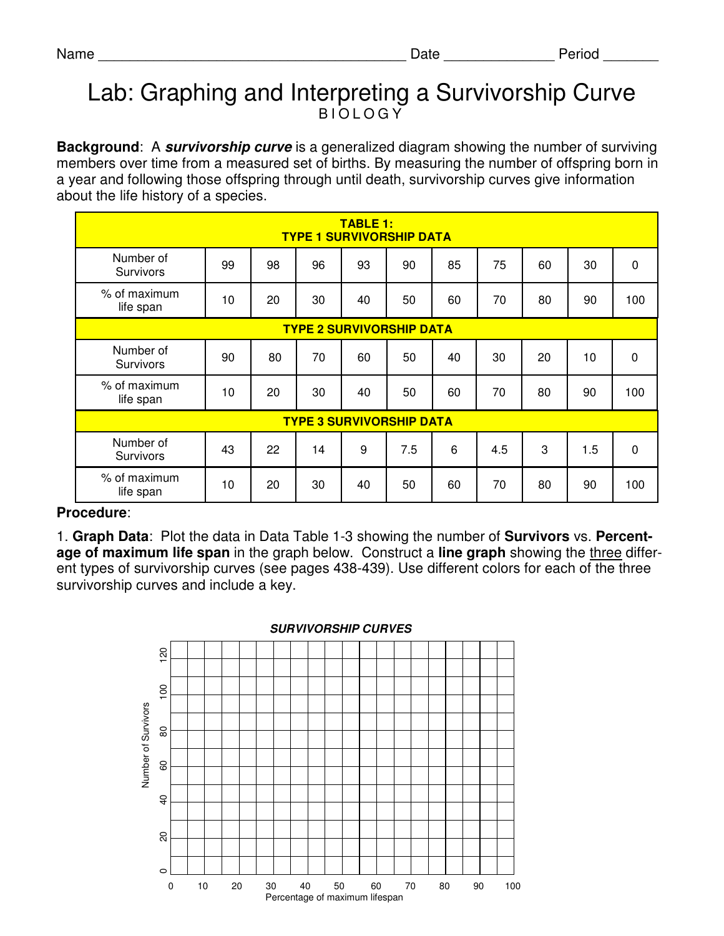## Lab: Graphing and Interpreting a Survivorship Curve **BIOLOGY**

**Background**: A **survivorship curve** is a generalized diagram showing the number of surviving members over time from a measured set of births. By measuring the number of offspring born in a year and following those offspring through until death, survivorship curves give information about the life history of a species.

| <b>TABLE 1:</b><br><b>TYPE 1 SURVIVORSHIP DATA</b> |    |    |    |    |     |    |     |    |     |             |
|----------------------------------------------------|----|----|----|----|-----|----|-----|----|-----|-------------|
| Number of<br>Survivors                             | 99 | 98 | 96 | 93 | 90  | 85 | 75  | 60 | 30  | $\pmb{0}$   |
| % of maximum<br>life span                          | 10 | 20 | 30 | 40 | 50  | 60 | 70  | 80 | 90  | 100         |
| <b>TYPE 2 SURVIVORSHIP DATA</b>                    |    |    |    |    |     |    |     |    |     |             |
| Number of<br>Survivors                             | 90 | 80 | 70 | 60 | 50  | 40 | 30  | 20 | 10  | $\mathbf 0$ |
| % of maximum<br>life span                          | 10 | 20 | 30 | 40 | 50  | 60 | 70  | 80 | 90  | 100         |
| <b>TYPE 3 SURVIVORSHIP DATA</b>                    |    |    |    |    |     |    |     |    |     |             |
| Number of<br>Survivors                             | 43 | 22 | 14 | 9  | 7.5 | 6  | 4.5 | 3  | 1.5 | $\mathbf 0$ |
| % of maximum<br>life span                          | 10 | 20 | 30 | 40 | 50  | 60 | 70  | 80 | 90  | 100         |

## **Procedure**:

1. **Graph Data**: Plot the data in Data Table 1-3 showing the number of **Survivors** vs. **Percentage of maximum life span** in the graph below. Construct a **line graph** showing the three different types of survivorship curves (see pages 438-439). Use different colors for each of the three survivorship curves and include a key.



## **SURVIVORSHIP CURVES**